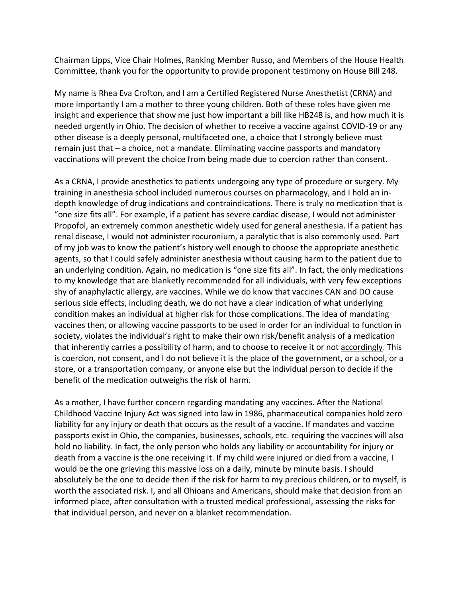Chairman Lipps, Vice Chair Holmes, Ranking Member Russo, and Members of the House Health Committee, thank you for the opportunity to provide proponent testimony on House Bill 248.

My name is Rhea Eva Crofton, and I am a Certified Registered Nurse Anesthetist (CRNA) and more importantly I am a mother to three young children. Both of these roles have given me insight and experience that show me just how important a bill like HB248 is, and how much it is needed urgently in Ohio. The decision of whether to receive a vaccine against COVID-19 or any other disease is a deeply personal, multifaceted one, a choice that I strongly believe must remain just that – a choice, not a mandate. Eliminating vaccine passports and mandatory vaccinations will prevent the choice from being made due to coercion rather than consent.

As a CRNA, I provide anesthetics to patients undergoing any type of procedure or surgery. My training in anesthesia school included numerous courses on pharmacology, and I hold an indepth knowledge of drug indications and contraindications. There is truly no medication that is "one size fits all". For example, if a patient has severe cardiac disease, I would not administer Propofol, an extremely common anesthetic widely used for general anesthesia. If a patient has renal disease, I would not administer rocuronium, a paralytic that is also commonly used. Part of my job was to know the patient's history well enough to choose the appropriate anesthetic agents, so that I could safely administer anesthesia without causing harm to the patient due to an underlying condition. Again, no medication is "one size fits all". In fact, the only medications to my knowledge that are blanketly recommended for all individuals, with very few exceptions shy of anaphylactic allergy, are vaccines. While we do know that vaccines CAN and DO cause serious side effects, including death, we do not have a clear indication of what underlying condition makes an individual at higher risk for those complications. The idea of mandating vaccines then, or allowing vaccine passports to be used in order for an individual to function in society, violates the individual's right to make their own risk/benefit analysis of a medication that inherently carries a possibility of harm, and to choose to receive it or not accordingly. This is coercion, not consent, and I do not believe it is the place of the government, or a school, or a store, or a transportation company, or anyone else but the individual person to decide if the benefit of the medication outweighs the risk of harm.

As a mother, I have further concern regarding mandating any vaccines. After the National Childhood Vaccine Injury Act was signed into law in 1986, pharmaceutical companies hold zero liability for any injury or death that occurs as the result of a vaccine. If mandates and vaccine passports exist in Ohio, the companies, businesses, schools, etc. requiring the vaccines will also hold no liability. In fact, the only person who holds any liability or accountability for injury or death from a vaccine is the one receiving it. If my child were injured or died from a vaccine, I would be the one grieving this massive loss on a daily, minute by minute basis. I should absolutely be the one to decide then if the risk for harm to my precious children, or to myself, is worth the associated risk. I, and all Ohioans and Americans, should make that decision from an informed place, after consultation with a trusted medical professional, assessing the risks for that individual person, and never on a blanket recommendation.